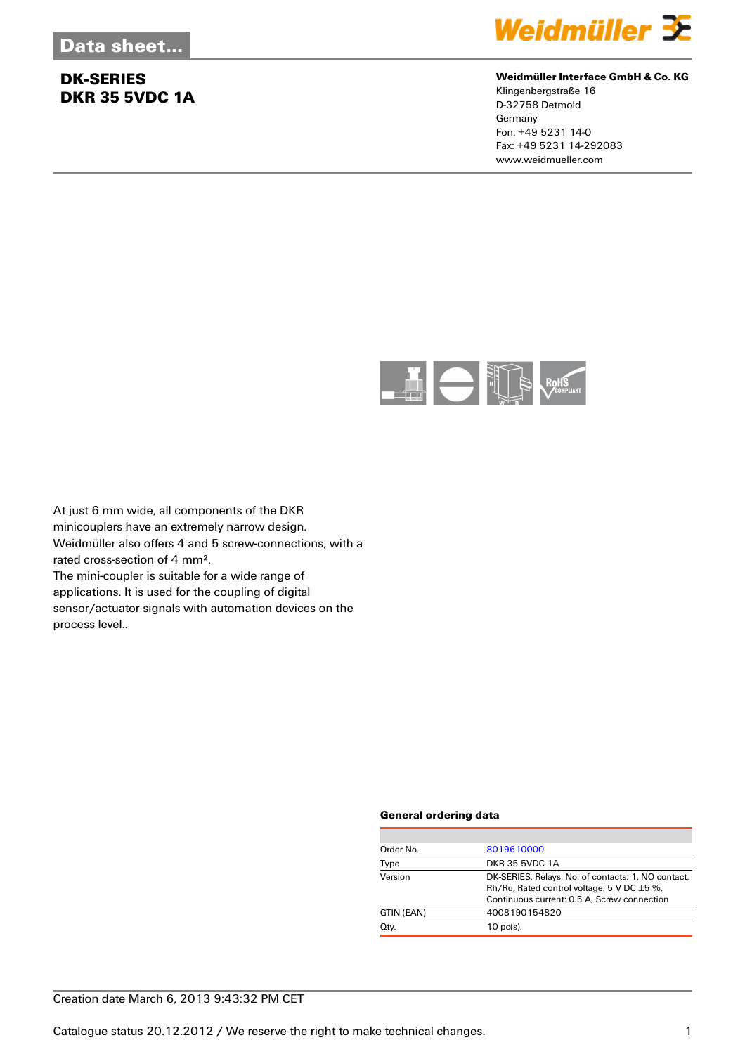

#### **Weidmüller Interface GmbH & Co. KG**

Klingenbergstraße 16 D-32758 Detmold Germany Fon: +49 5231 14-0 Fax: +49 5231 14-292083 www.weidmueller.com



At just 6 mm wide, all components of the DKR minicouplers have an extremely narrow design. Weidmüller also offers 4 and 5 screw-connections, with a rated cross-section of 4 mm². The mini-coupler is suitable for a wide range of applications. It is used for the coupling of digital

sensor/actuator signals with automation devices on the process level..

#### **General ordering data**

| Order No.  | 8019610000                                                                                                                                                |
|------------|-----------------------------------------------------------------------------------------------------------------------------------------------------------|
| Type       | <b>DKR 35 5VDC 1A</b>                                                                                                                                     |
| Version    | DK-SERIES, Relays, No. of contacts: 1, NO contact,<br>Rh/Ru, Rated control voltage: $5 \vee DC \pm 5 \%$ ,<br>Continuous current: 0.5 A, Screw connection |
| GTIN (EAN) | 4008190154820                                                                                                                                             |
| Qty.       | $10$ pc(s).                                                                                                                                               |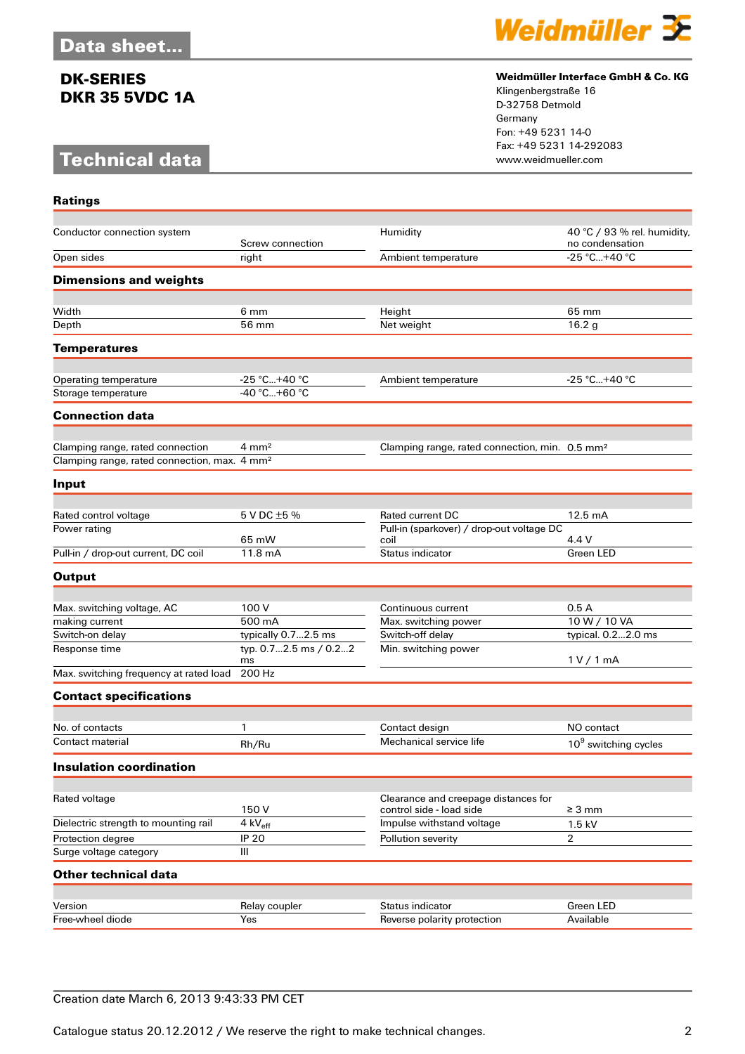# **Technical data**

**Ratings**



### **Weidmüller Interface GmbH & Co. KG**

Klingenbergstraße 16 D-32758 Detmold Germany Fon: +49 5231 14-0 Fax: +49 5231 14-292083

| Conductor connection system                              | Screw connection            | Humidity                                                             | 40 °C / 93 % rel. humidity,<br>no condensation |
|----------------------------------------------------------|-----------------------------|----------------------------------------------------------------------|------------------------------------------------|
| Open sides                                               | right                       | Ambient temperature                                                  | $-25 °C+40 °C$                                 |
| <b>Dimensions and weights</b>                            |                             |                                                                      |                                                |
|                                                          |                             |                                                                      |                                                |
| Width                                                    | 6 mm                        | Height                                                               | 65 mm                                          |
| Depth                                                    | 56 mm                       | Net weight                                                           | 16.2 <sub>g</sub>                              |
| <b>Temperatures</b>                                      |                             |                                                                      |                                                |
| Operating temperature                                    | $-25 °C+40 °C$              | Ambient temperature                                                  | $-25 °C+40 °C$                                 |
| Storage temperature                                      | $-40 °C+60 °C$              |                                                                      |                                                |
| <b>Connection data</b>                                   |                             |                                                                      |                                                |
|                                                          |                             |                                                                      |                                                |
| Clamping range, rated connection                         | $4 \text{ mm}^2$            | Clamping range, rated connection, min. 0.5 mm <sup>2</sup>           |                                                |
| Clamping range, rated connection, max. 4 mm <sup>2</sup> |                             |                                                                      |                                                |
| Input                                                    |                             |                                                                      |                                                |
|                                                          |                             |                                                                      |                                                |
| Rated control voltage<br>Power rating                    | 5 V DC ±5 %                 | <b>Rated current DC</b><br>Pull-in (sparkover) / drop-out voltage DC | 12.5 mA                                        |
|                                                          | 65 mW                       | coil                                                                 | 4.4 V                                          |
| Pull-in / drop-out current, DC coil                      | 11.8 mA                     | Status indicator                                                     | Green LED                                      |
| <b>Output</b>                                            |                             |                                                                      |                                                |
|                                                          |                             |                                                                      |                                                |
| Max. switching voltage, AC                               | 100 V                       | Continuous current                                                   | 0.5A                                           |
| making current                                           | 500 mA                      | Max. switching power                                                 | 10 W / 10 VA                                   |
| Switch-on delay                                          | typically 0.72.5 ms         | Switch-off delay                                                     | typical. 0.22.0 ms                             |
| Response time                                            | typ. 0.72.5 ms / 0.22<br>ms | Min. switching power                                                 | 1 V / 1 mA                                     |
| Max. switching frequency at rated load                   | 200 Hz                      |                                                                      |                                                |
| <b>Contact specifications</b>                            |                             |                                                                      |                                                |
|                                                          |                             |                                                                      |                                                |
| No. of contacts                                          | 1                           | Contact design                                                       | NO contact                                     |
| Contact material                                         | Rh/Ru                       | Mechanical service life                                              | 10 <sup>9</sup> switching cycles               |
| <b>Insulation coordination</b>                           |                             |                                                                      |                                                |
| Rated voltage                                            |                             | Clearance and creepage distances for                                 |                                                |
|                                                          | 150V                        | control side - load side                                             | $\geq 3$ mm                                    |
| Dielectric strength to mounting rail                     | 4 $kV_{eff}$                | Impulse withstand voltage                                            | 1.5 kV                                         |
| Protection degree                                        | <b>IP 20</b>                | Pollution severity                                                   | $\overline{2}$                                 |
| Surge voltage category                                   | III                         |                                                                      |                                                |
| <b>Other technical data</b>                              |                             |                                                                      |                                                |
|                                                          |                             |                                                                      |                                                |
| Version                                                  | Relay coupler               | Status indicator                                                     | <b>Green LED</b>                               |
| Free-wheel diode                                         | Yes                         | Reverse polarity protection                                          | Available                                      |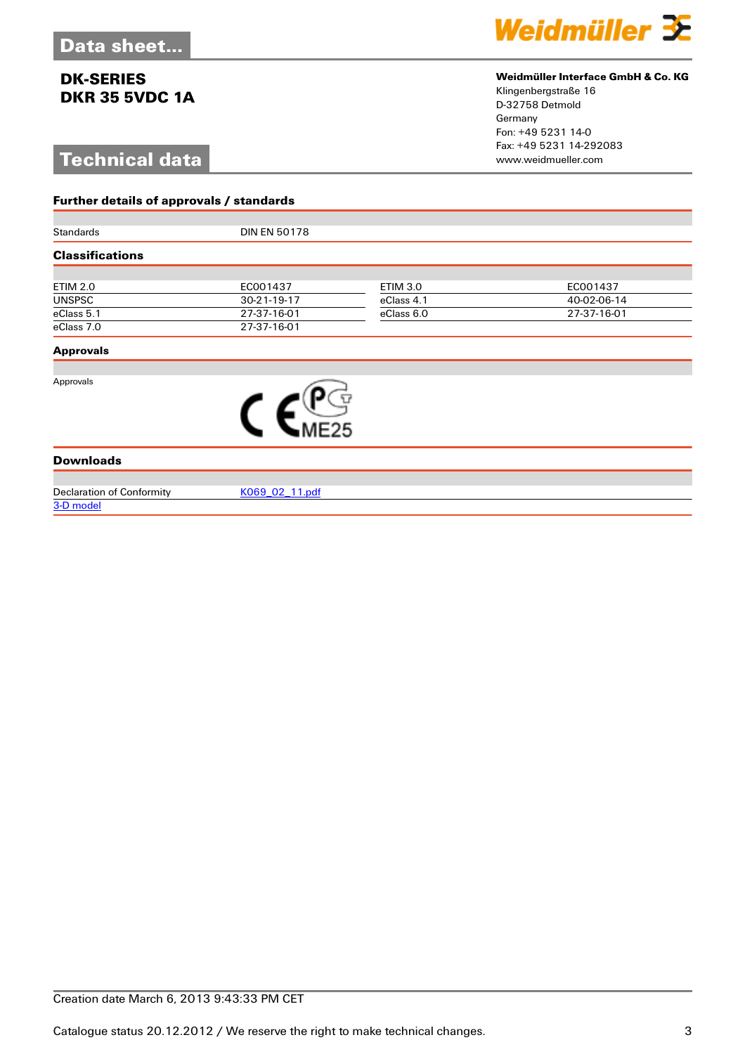# **Technical data**

**Further details of approvals / standards**



#### **Weidmüller Interface GmbH & Co. KG**

Klingenbergstraße 16 D-32758 Detmold Germany Fon: +49 5231 14-0 Fax: +49 5231 14-292083

| <b>Standards</b>       | <b>DIN EN 50178</b> |                 |             |  |  |
|------------------------|---------------------|-----------------|-------------|--|--|
| <b>Classifications</b> |                     |                 |             |  |  |
|                        |                     |                 |             |  |  |
| <b>ETIM 2.0</b>        | EC001437            | <b>ETIM 3.0</b> | EC001437    |  |  |
| <b>UNSPSC</b>          | 30-21-19-17         | eClass 4.1      | 40-02-06-14 |  |  |
| eClass 5.1             | 27-37-16-01         | eClass 6.0      | 27-37-16-01 |  |  |
| eClass 7.0             | 27-37-16-01         |                 |             |  |  |
| <b>Approvals</b>       |                     |                 |             |  |  |
|                        |                     |                 |             |  |  |
| Approvals              |                     |                 |             |  |  |



Declaration of Conformity KO69\_02\_11.pdf [3-D model](http://catalog.weidmueller.com/procat/PartServerForm.jsp?partNumber=8019610000)